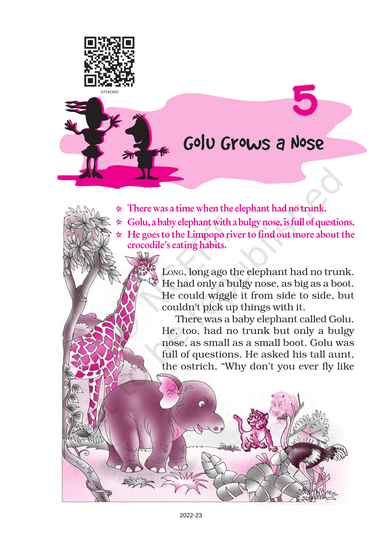

## Golu Grows a Nose

5

- $\star$  There was a time when the elephant had no trunk.
- $\star$  Golu, a baby elephant with a bulgy nose, is full of questions.
- $\star$  He goes to the Limpopo river to find out more about the crocodile's eating habits.

LONG, long ago the elephant had no trunk. He had only a bulgy nose, as big as a boot. He could wiggle it from side to side, but couldn't pick up things with it.

There was a baby elephant called Golu. He, too, had no trunk but only a bulgy nose, as small as a small boot. Golu was full of questions. He asked his tall aunt, the ostrich, "Why don't you ever fly like

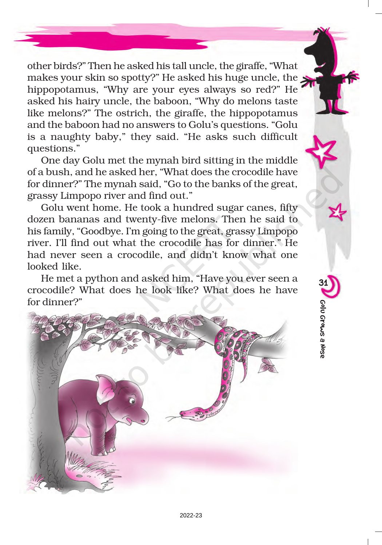other birds?" Then he asked his tall uncle, the giraffe, "What makes your skin so spotty?" He asked his huge uncle, the hippopotamus, "Why are your eyes always so red?" He asked his hairy uncle, the baboon, "Why do melons taste like melons?" The ostrich, the giraffe, the hippopotamus and the baboon had no answers to Golu's questions. "Golu is a naughty baby," they said. "He asks such difficult questions."

One day Golu met the mynah bird sitting in the middle of a bush, and he asked her, "What does the crocodile have for dinner?" The mynah said, "Go to the banks of the great, grassy Limpopo river and find out."

Golu went home. He took a hundred sugar canes, fifty dozen bananas and twenty-five melons. Then he said to his family, "Goodbye. I'm going to the great, grassy Limpopo river. I'll find out what the crocodile has for dinner." He had never seen a crocodile, and didn't know what one looked like.

He met a python and asked him, "Have you ever seen a crocodile? What does he look like? What does he have for dinner?"



31Golo Grows a Nose Golu Grows a Nose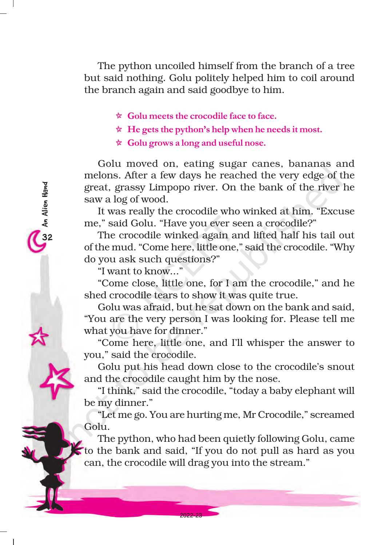The python uncoiled himself from the branch of a tree but said nothing. Golu politely helped him to coil around the branch again and said goodbye to him.

- $\star$  Golu meets the crocodile face to face.
- $\star$  He gets the python's help when he needs it most.
- $\star$  Golu grows a long and useful nose.

Golu moved on, eating sugar canes, bananas and melons. After a few days he reached the very edge of the great, grassy Limpopo river. On the bank of the river he saw a log of wood.

It was really the crocodile who winked at him. "Excuse me," said Golu. "Have you ever seen a crocodile?"

The crocodile winked again and lifted half his tail out of the mud. "Come here, little one," said the crocodile. "Why do you ask such questions?"

"I want to know..."

32An Alien Hand

An Alien Hand

"Come close, little one, for I am the crocodile," and he shed crocodile tears to show it was quite true.

Golu was afraid, but he sat down on the bank and said, "You are the very person I was looking for. Please tell me what you have for dinner."

"Come here, little one, and I'll whisper the answer to you," said the crocodile.

Golu put his head down close to the crocodile's snout and the crocodile caught him by the nose.

"I think," said the crocodile, "today a baby elephant will be my dinner."

"Let me go. You are hurting me, Mr Crocodile," screamed Golu.

The python, who had been quietly following Golu, came to the bank and said, "If you do not pull as hard as you can, the crocodile will drag you into the stream."

2022-23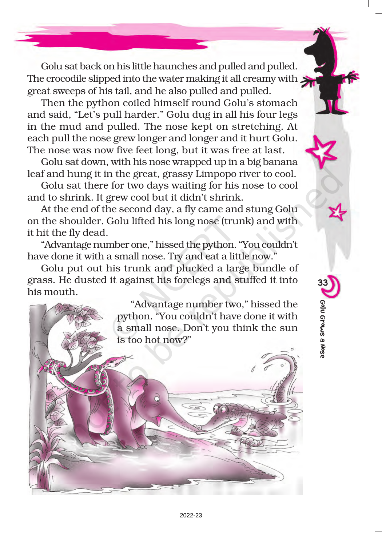Golu sat back on his little haunches and pulled and pulled. The crocodile slipped into the water making it all creamy with  $\blacktriangleright$ great sweeps of his tail, and he also pulled and pulled.

Then the python coiled himself round Golu's stomach and said, "Let's pull harder." Golu dug in all his four legs in the mud and pulled. The nose kept on stretching. At each pull the nose grew longer and longer and it hurt Golu. The nose was now five feet long, but it was free at last.

Golu sat down, with his nose wrapped up in a big banana leaf and hung it in the great, grassy Limpopo river to cool.

Golu sat there for two days waiting for his nose to cool and to shrink. It grew cool but it didn't shrink.

At the end of the second day, a fly came and stung Golu on the shoulder. Golu lifted his long nose (trunk) and with it hit the fly dead.

"Advantage number one," hissed the python. "You couldn't have done it with a small nose. Try and eat a little now."

Golu put out his trunk and plucked a large bundle of grass. He dusted it against his forelegs and stuffed it into his mouth.

> "Advantage number two," hissed the python. "You couldn't have done it with a small nose. Don't you think the sun is too hot now?"

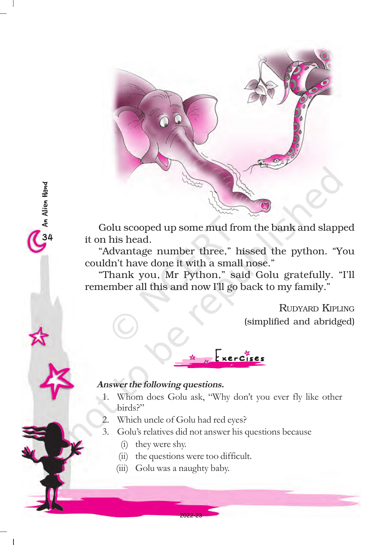

Golu scooped up some mud from the bank and slapped it on his head.

"Advantage number three," hissed the python. "You couldn't have done it with a small nose."

"Thank you, Mr Python," said Golu gratefully. "I'll remember all this and now I'll go back to my family."

> RUDYARD KIPLING (simplified and abridged)

## Answer the following questions.

 $\omega$  An Alien Hand

An Alien Hand

1. Whom does Golu ask, "Why don't you ever fly like other birds?"

 $Exercises$ 

- 2. Which uncle of Golu had red eyes?
- 3. Golu's relatives did not answer his questions because
	- (i) they were shy.
	- (ii) the questions were too difficult.

2022-23

(iii) Golu was a naughty baby.